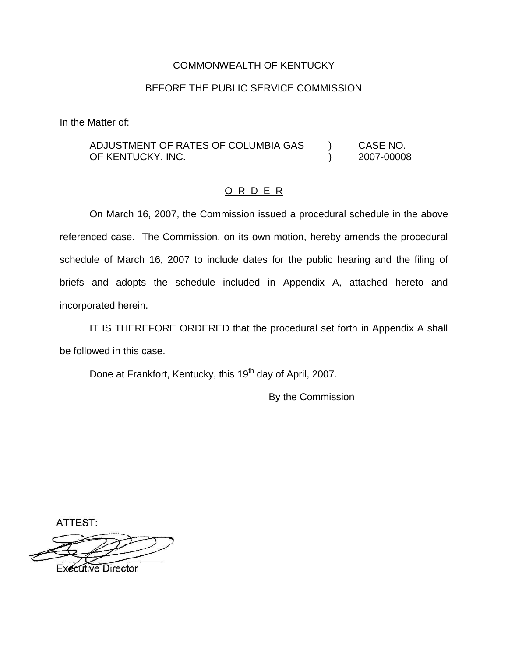#### COMMONWEALTH OF KENTUCKY

### BEFORE THE PUBLIC SERVICE COMMISSION

In the Matter of:

ADJUSTMENT OF RATES OF COLUMBIA GAS ) CASE NO. OF KENTUCKY, INC. (2007-00008)

## O R D E R

On March 16, 2007, the Commission issued a procedural schedule in the above referenced case. The Commission, on its own motion, hereby amends the procedural schedule of March 16, 2007 to include dates for the public hearing and the filing of briefs and adopts the schedule included in Appendix A, attached hereto and incorporated herein.

IT IS THEREFORE ORDERED that the procedural set forth in Appendix A shall be followed in this case.

Done at Frankfort, Kentucky, this 19<sup>th</sup> day of April, 2007.

By the Commission

ATTEST:

**Executive Director**